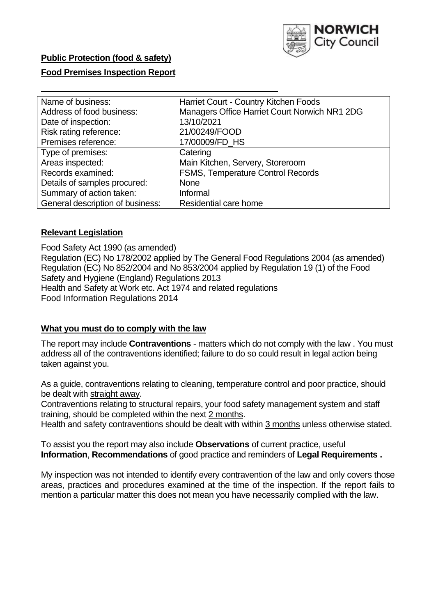

### **Public Protection (food & safety)**

### **Food Premises Inspection Report**

| Name of business:                | Harriet Court - Country Kitchen Foods         |
|----------------------------------|-----------------------------------------------|
| Address of food business:        | Managers Office Harriet Court Norwich NR1 2DG |
| Date of inspection:              | 13/10/2021                                    |
| Risk rating reference:           | 21/00249/FOOD                                 |
| Premises reference:              | 17/00009/FD HS                                |
| Type of premises:                | Catering                                      |
| Areas inspected:                 | Main Kitchen, Servery, Storeroom              |
| Records examined:                | <b>FSMS, Temperature Control Records</b>      |
| Details of samples procured:     | None                                          |
| Summary of action taken:         | Informal                                      |
| General description of business: | Residential care home                         |

### **Relevant Legislation**

Food Safety Act 1990 (as amended) Regulation (EC) No 178/2002 applied by The General Food Regulations 2004 (as amended) Regulation (EC) No 852/2004 and No 853/2004 applied by Regulation 19 (1) of the Food Safety and Hygiene (England) Regulations 2013 Health and Safety at Work etc. Act 1974 and related regulations Food Information Regulations 2014

#### **What you must do to comply with the law**

The report may include **Contraventions** - matters which do not comply with the law . You must address all of the contraventions identified; failure to do so could result in legal action being taken against you.

As a guide, contraventions relating to cleaning, temperature control and poor practice, should be dealt with straight away.

Contraventions relating to structural repairs, your food safety management system and staff training, should be completed within the next 2 months.

Health and safety contraventions should be dealt with within 3 months unless otherwise stated.

To assist you the report may also include **Observations** of current practice, useful **Information**, **Recommendations** of good practice and reminders of **Legal Requirements .**

My inspection was not intended to identify every contravention of the law and only covers those areas, practices and procedures examined at the time of the inspection. If the report fails to mention a particular matter this does not mean you have necessarily complied with the law.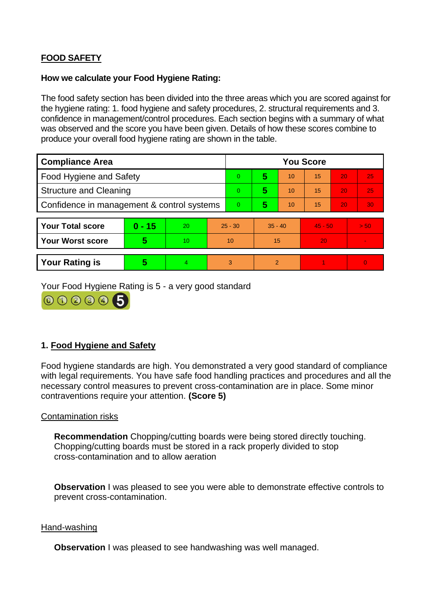# **FOOD SAFETY**

### **How we calculate your Food Hygiene Rating:**

The food safety section has been divided into the three areas which you are scored against for the hygiene rating: 1. food hygiene and safety procedures, 2. structural requirements and 3. confidence in management/control procedures. Each section begins with a summary of what was observed and the score you have been given. Details of how these scores combine to produce your overall food hygiene rating are shown in the table.

| <b>Compliance Area</b>                     |          |    |           | <b>You Score</b> |                |    |           |    |                |  |  |
|--------------------------------------------|----------|----|-----------|------------------|----------------|----|-----------|----|----------------|--|--|
| Food Hygiene and Safety                    |          |    | $\Omega$  | 5                | 10             | 15 | 20        | 25 |                |  |  |
| <b>Structure and Cleaning</b>              |          |    | $\Omega$  | 5                | 10             | 15 | 20        | 25 |                |  |  |
| Confidence in management & control systems |          |    | $\Omega$  | 5                | 10             | 15 | 20        | 30 |                |  |  |
|                                            |          |    |           |                  |                |    |           |    |                |  |  |
| <b>Your Total score</b>                    | $0 - 15$ | 20 | $25 - 30$ |                  | $35 - 40$      |    | $45 - 50$ |    | > 50           |  |  |
| Your Worst score                           | 5        | 10 | 10        |                  | 15             |    | 20        |    | $\blacksquare$ |  |  |
|                                            |          |    |           |                  |                |    |           |    |                |  |  |
| <b>Your Rating is</b>                      | 5        | 4  | 3         |                  | $\overline{2}$ |    |           |    | $\Omega$       |  |  |

Your Food Hygiene Rating is 5 - a very good standard



## **1. Food Hygiene and Safety**

Food hygiene standards are high. You demonstrated a very good standard of compliance with legal requirements. You have safe food handling practices and procedures and all the necessary control measures to prevent cross-contamination are in place. Some minor contraventions require your attention. **(Score 5)**

### Contamination risks

**Recommendation** Chopping/cutting boards were being stored directly touching. Chopping/cutting boards must be stored in a rack properly divided to stop cross-contamination and to allow aeration

**Observation** I was pleased to see you were able to demonstrate effective controls to prevent cross-contamination.

#### Hand-washing

**Observation** I was pleased to see handwashing was well managed.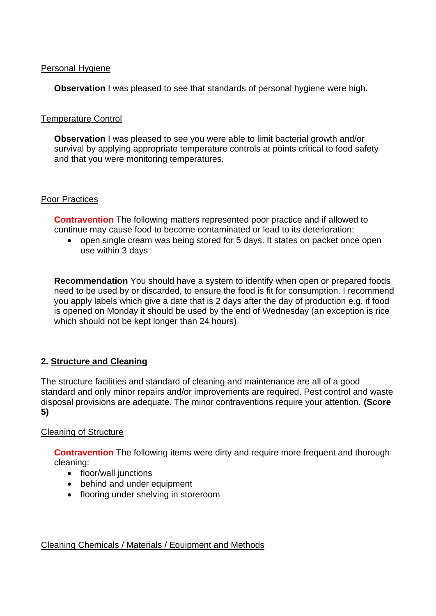### Personal Hygiene

**Observation** I was pleased to see that standards of personal hygiene were high.

### Temperature Control

**Observation** I was pleased to see you were able to limit bacterial growth and/or survival by applying appropriate temperature controls at points critical to food safety and that you were monitoring temperatures.

#### Poor Practices

**Contravention** The following matters represented poor practice and if allowed to continue may cause food to become contaminated or lead to its deterioration:

• open single cream was being stored for 5 days. It states on packet once open use within 3 days

**Recommendation** You should have a system to identify when open or prepared foods need to be used by or discarded, to ensure the food is fit for consumption. I recommend you apply labels which give a date that is 2 days after the day of production e.g. if food is opened on Monday it should be used by the end of Wednesday (an exception is rice which should not be kept longer than 24 hours)

### **2. Structure and Cleaning**

The structure facilities and standard of cleaning and maintenance are all of a good standard and only minor repairs and/or improvements are required. Pest control and waste disposal provisions are adequate. The minor contraventions require your attention. **(Score 5)**

#### Cleaning of Structure

**Contravention** The following items were dirty and require more frequent and thorough cleaning:

- floor/wall junctions
- behind and under equipment
- flooring under shelving in storeroom

#### Cleaning Chemicals / Materials / Equipment and Methods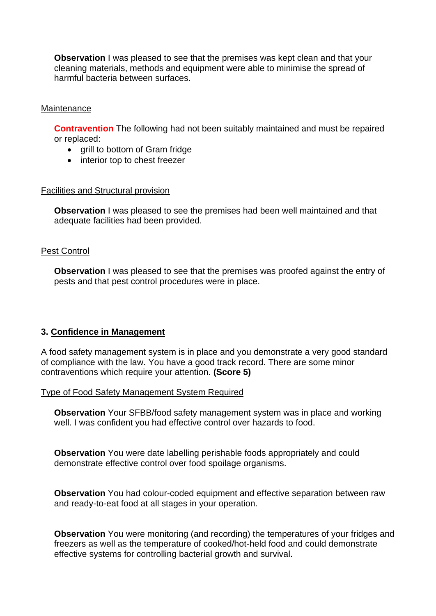**Observation** I was pleased to see that the premises was kept clean and that your cleaning materials, methods and equipment were able to minimise the spread of harmful bacteria between surfaces.

### **Maintenance**

**Contravention** The following had not been suitably maintained and must be repaired or replaced:

- grill to bottom of Gram fridge
- interior top to chest freezer

#### Facilities and Structural provision

**Observation** I was pleased to see the premises had been well maintained and that adequate facilities had been provided.

#### Pest Control

**Observation** I was pleased to see that the premises was proofed against the entry of pests and that pest control procedures were in place.

### **3. Confidence in Management**

A food safety management system is in place and you demonstrate a very good standard of compliance with the law. You have a good track record. There are some minor contraventions which require your attention. **(Score 5)**

#### Type of Food Safety Management System Required

**Observation** Your SFBB/food safety management system was in place and working well. I was confident you had effective control over hazards to food.

**Observation** You were date labelling perishable foods appropriately and could demonstrate effective control over food spoilage organisms.

**Observation** You had colour-coded equipment and effective separation between raw and ready-to-eat food at all stages in your operation.

**Observation** You were monitoring (and recording) the temperatures of your fridges and freezers as well as the temperature of cooked/hot-held food and could demonstrate effective systems for controlling bacterial growth and survival.